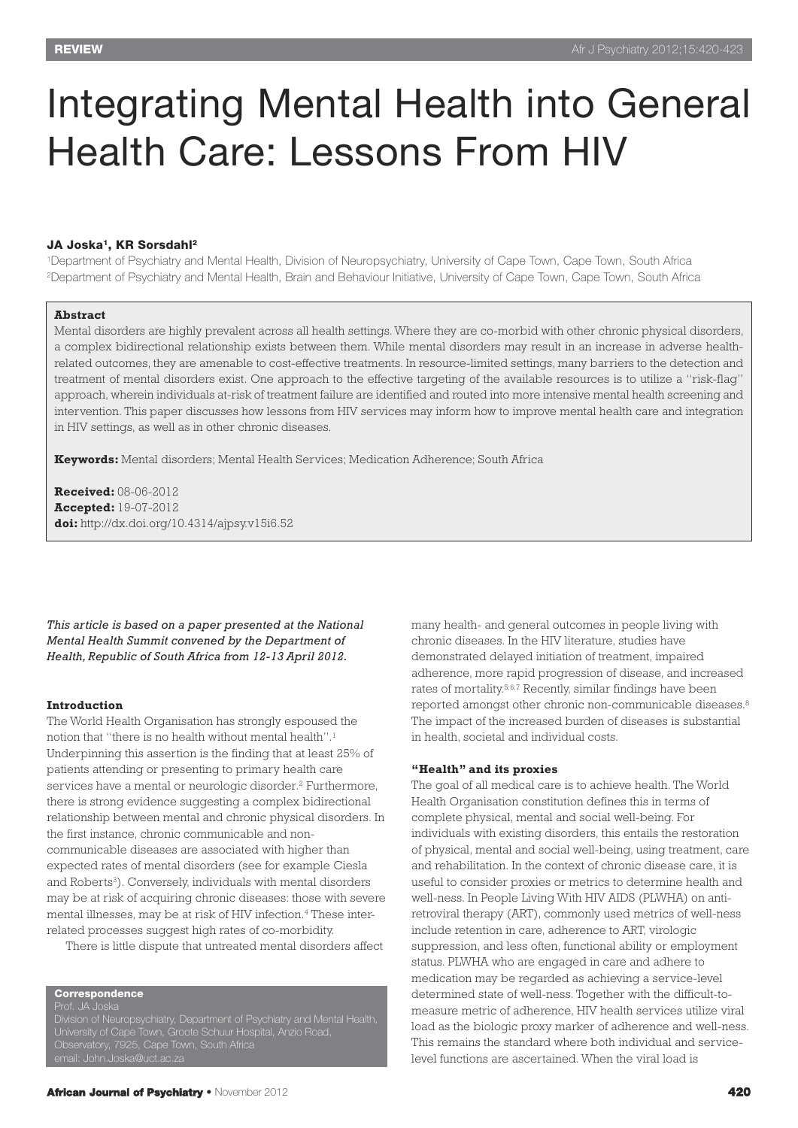# Integrating Mental Health into General Health Care: Lessons From HIV

# **JA Joska1, KR Sorsdahl2**

1Department of Psychiatry and Mental Health, Division of Neuropsychiatry, University of Cape Town, Cape Town, South Africa 2Department of Psychiatry and Mental Health, Brain and Behaviour Initiative, University of Cape Town, Cape Town, South Africa

# **Abstract**

Mental disorders are highly prevalent across all health settings. Where they are co-morbid with other chronic physical disorders, a complex bidirectional relationship exists between them. While mental disorders may result in an increase in adverse healthrelated outcomes, they are amenable to cost-effective treatments. In resource-limited settings, many barriers to the detection and treatment of mental disorders exist. One approach to the effective targeting of the available resources is to utilize a "risk-flag" approach, wherein individuals at-risk of treatment failure are identified and routed into more intensive mental health screening and intervention. This paper discusses how lessons from HIV services may inform how to improve mental health care and integration in HIV settings, as well as in other chronic diseases

**Keywords:** Mental disorders; Mental Health Services; Medication Adherence; South Africa

**Received:** 08-06-2012 **Accepted:** 19-07-2012 **doi:** http://dx.doi.org/10.4314/ajpsy.v15i6.52

*This article is based on a paper presented at the National Mental Health Summit convened by the Department of Health, Republic of South Africa from 12-13 April 2012.*

# **Introduction**

The World Health Organisation has strongly espoused the notion that "there is no health without mental health". 1 Underpinning this assertion is the finding that at least 25% of patients attending or presenting to primary health care services have a mental or neurologic disorder. <sup>2</sup> Furthermore, there is strong evidence suggesting a complex bidirectional relationship between mental and chronic physical disorders. In the first instance, chronic communicable and noncommunicable diseases are associated with higher than expected rates of mental disorders (see for example Ciesla and Roberts<sup>3</sup>). Conversely, individuals with mental disorders may be at risk of acquiring chronic diseases: those with severe mental illnesses, may be at risk of HIV infection. <sup>4</sup> These interrelated processes suggest high rates of co-morbidity.

There is little dispute that untreated mental disorders affect

#### **Correspondence** Prof. JA Joska

Division of Neuropsychiatry, Department of Psychiatry and Mental Health, Observatory, 7925, Cape Town, South Africa email: John.Joska@uct.ac.za

many health- and general outcomes in people living with chronic diseases. In the HIV literature, studies have demonstrated delayed initiation of treatment, impaired adherence, more rapid progression of disease, and increased rates of mortality. 5;6;7 Recently, similar findings have been reported amongst other chronic non-communicable diseases.<sup>8</sup> The impact of the increased burden of diseases is substantial in health, societal and individual costs.

#### **"Health" and its proxies**

The goal of all medical care is to achieve health. The World Health Organisation constitution defines this in terms of complete physical, mental and social well-being. For individuals with existing disorders, this entails the restoration of physical, mental and social well-being, using treatment, care and rehabilitation. In the context of chronic disease care, it is useful to consider proxies or metrics to determine health and well-ness. In People Living With HIV AIDS (PLWHA) on antiretroviral therapy (ART), commonly used metrics of well-ness include retention in care, adherence to ART, virologic suppression, and less often, functional ability or employment status. PLWHA who are engaged in care and adhere to medication may be regarded as achieving a service-level determined state of well-ness. Together with the difficult-tomeasure metric of adherence, HIV health services utilize viral load as the biologic proxy marker of adherence and well-ness. This remains the standard where both individual and servicelevel functions are ascertained. When the viral load is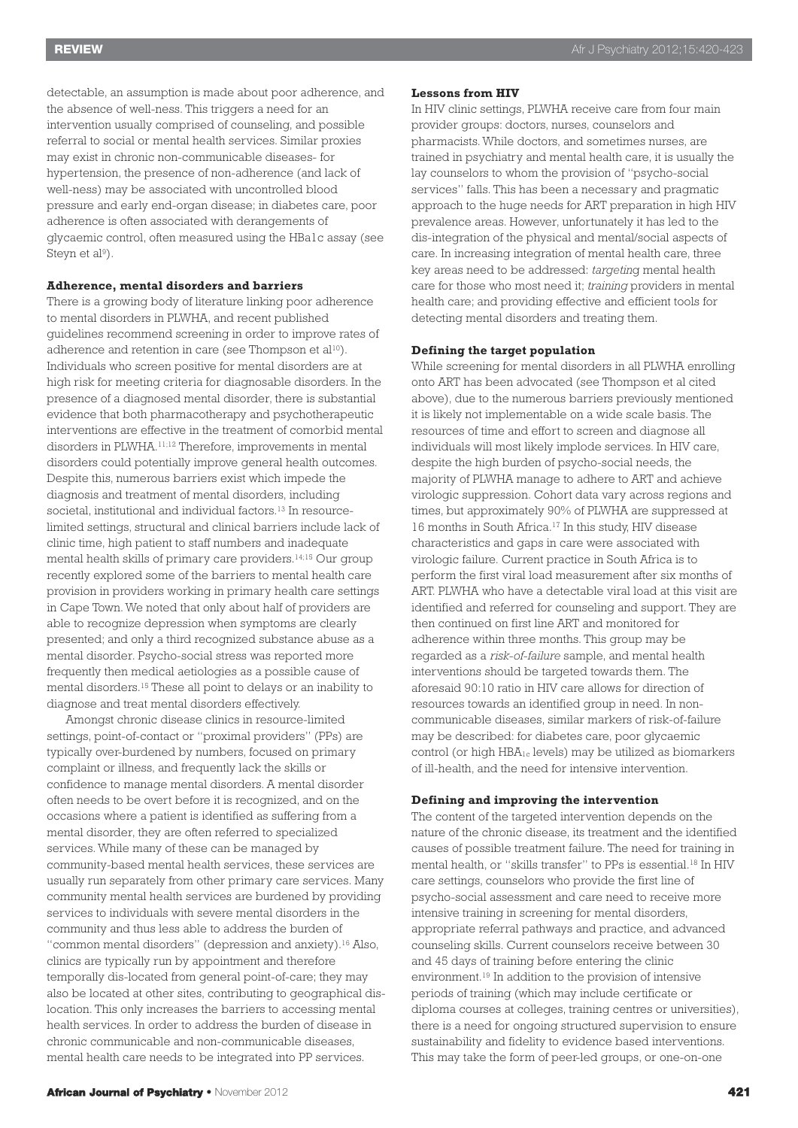detectable, an assumption is made about poor adherence, and the absence of well-ness. This triggers a need for an intervention usually comprised of counseling, and possible referral to social or mental health services. Similar proxies may exist in chronic non-communicable diseases- for hypertension, the presence of non-adherence (and lack of well-ness) may be associated with uncontrolled blood pressure and early end-organ disease; in diabetes care, poor adherence is often associated with derangements of glycaemic control, often measured using the HBa1c assay (see Steyn et al<sup>9</sup>).

# **Adherence, mental disorders and barriers**

There is a growing body of literature linking poor adherence to mental disorders in PLWHA, and recent published guidelines recommend screening in order to improve rates of adherence and retention in care (see Thompson et al 10). Individuals who screen positive for mental disorders are at high risk for meeting criteria for diagnosable disorders. In the presence of a diagnosed mental disorder, there is substantial evidence that both pharmacotherapy and psychotherapeutic interventions are effective in the treatment of comorbid mental disorders in PLWHA. 11;12 Therefore, improvements in mental disorders could potentially improve general health outcomes. Despite this, numerous barriers exist which impede the diagnosis and treatment of mental disorders, including societal, institutional and individual factors. <sup>13</sup> In resourcelimited settings, structural and clinical barriers include lack of clinic time, high patient to staff numbers and inadequate mental health skills of primary care providers. 14;15 Our group recently explored some of the barriers to mental health care provision in providers working in primary health care settings in Cape Town. We noted that only about half of providers are able to recognize depression when symptoms are clearly presented; and only a third recognized substance abuse as a mental disorder. Psycho-social stress was reported more frequently then medical aetiologies as a possible cause of mental disorders. <sup>15</sup> These all point to delays or an inability to diagnose and treat mental disorders effectively.

Amongst chronic disease clinics in resource-limited settings, point-of-contact or "proximal providers" (PPs) are typically over-burdened by numbers, focused on primary complaint or illness, and frequently lack the skills or confidence to manage mental disorders. A mental disorder often needs to be overt before it is recognized, and on the occasions where a patient is identified as suffering from a mental disorder, they are often referred to specialized services. While many of these can be managed by community-based mental health services, these services are usually run separately from other primary care services. Many community mental health services are burdened by providing services to individuals with severe mental disorders in the community and thus less able to address the burden of "common mental disorders" (depression and anxiety). <sup>16</sup> Also, clinics are typically run by appointment and therefore temporally dis-located from general point-of-care; they may also be located at other sites, contributing to geographical dislocation. This only increases the barriers to accessing mental health services. In order to address the burden of disease in chronic communicable and non-communicable diseases, mental health care needs to be integrated into PP services.

#### **Lessons from HIV**

In HIV clinic settings, PLWHA receive care from four main provider groups: doctors, nurses, counselors and pharmacists. While doctors, and sometimes nurses, are trained in psychiatry and mental health care, it is usually the lay counselors to whom the provision of "psycho-social services" falls. This has been a necessary and pragmatic approach to the huge needs for ART preparation in high HIV prevalence areas. However, unfortunately it has led to the dis-integration of the physical and mental/social aspects of care. In increasing integration of mental health care, three key areas need to be addressed: *targetin*g mental health care for those who most need it; *training* providers in mental health care; and providing effective and efficient tools for detecting mental disorders and treating them.

#### **Defining the target population**

While screening for mental disorders in all PLWHA enrolling onto ART has been advocated (see Thompson et al cited above), due to the numerous barriers previously mentioned it is likely not implementable on a wide scale basis. The resources of time and effort to screen and diagnose all individuals will most likely implode services. In HIV care, despite the high burden of psycho-social needs, the majority of PLWHA manage to adhere to ART and achieve virologic suppression. Cohort data vary across regions and times, but approximately 90% of PLWHA are suppressed at 16 months in South Africa. <sup>17</sup> In this study, HIV disease characteristics and gaps in care were associated with virologic failure. Current practice in South Africa is to perform the first viral load measurement after six months of ART. PLWHA who have a detectable viral load at this visit are identified and referred for counseling and support. They are then continued on first line ART and monitored for adherence within three months. This group may be regarded as a *risk-of-failure* sample, and mental health interventions should be targeted towards them. The aforesaid 90:10 ratio in HIV care allows for direction of resources towards an identified group in need. In noncommunicable diseases, similar markers of risk-of-failure may be described: for diabetes care, poor glycaemic control (or high HBA1c levels) may be utilized as biomarkers of ill-health, and the need for intensive intervention.

#### **Defining and improving the intervention**

The content of the targeted intervention depends on the nature of the chronic disease, its treatment and the identified causes of possible treatment failure. The need for training in mental health, or "skills transfer" to PPs is essential. <sup>18</sup> In HIV care settings, counselors who provide the first line of psycho-social assessment and care need to receive more intensive training in screening for mental disorders, appropriate referral pathways and practice, and advanced counseling skills. Current counselors receive between 30 and 45 days of training before entering the clinic environment. <sup>19</sup> In addition to the provision of intensive periods of training (which may include certificate or diploma courses at colleges, training centres or universities), there is a need for ongoing structured supervision to ensure sustainability and fidelity to evidence based interventions. This may take the form of peer-led groups, or one-on-one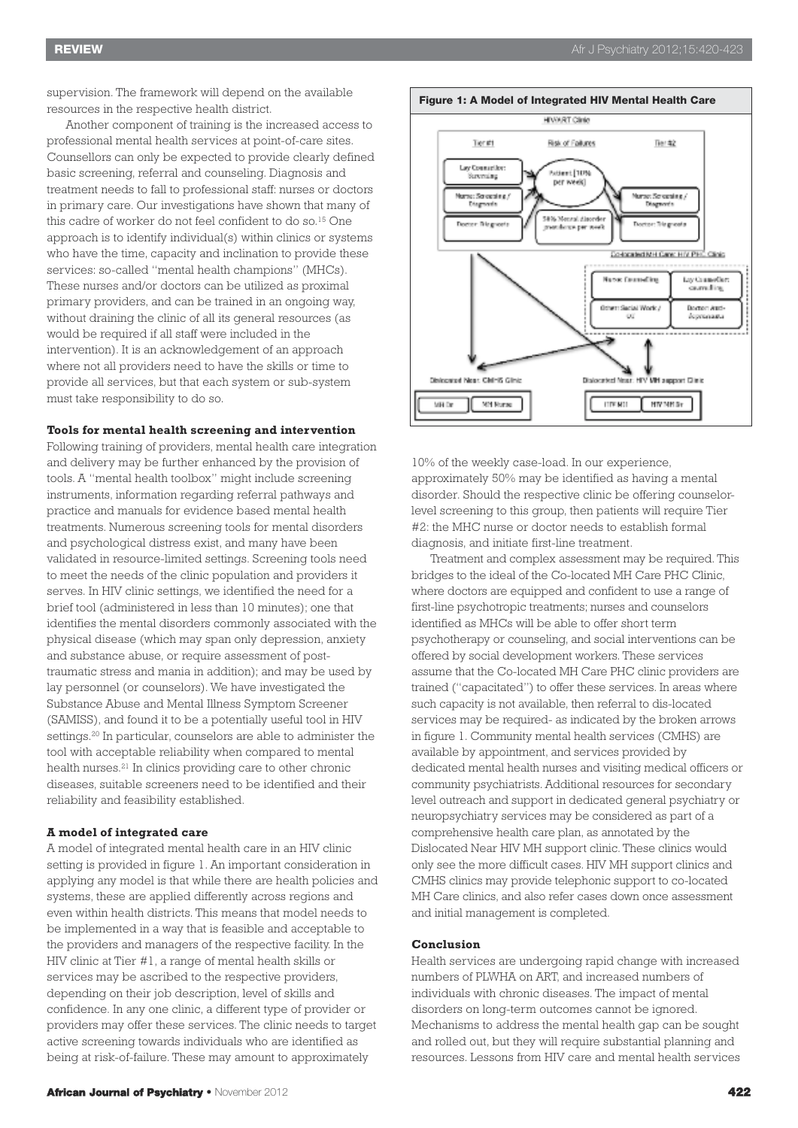supervision. The framework will depend on the available resources in the respective health district.

Another component of training is the increased access to professional mental health services at point-of-care sites. Counsellors can only be expected to provide clearly defined basic screening, referral and counseling. Diagnosis and treatment needs to fall to professional staff: nurses or doctors in primary care. Our investigations have shown that many of this cadre of worker do not feel confident to do so. <sup>15</sup> One approach is to identify individual(s) within clinics or systems who have the time, capacity and inclination to provide these services: so-called "mental health champions" (MHCs). These nurses and/or doctors can be utilized as proximal primary providers, and can be trained in an ongoing way, without draining the clinic of all its general resources (as would be required if all staff were included in the intervention). It is an acknowledgement of an approach where not all providers need to have the skills or time to provide all services, but that each system or sub-system must take responsibility to do so.

#### **Tools for mental health screening and intervention**

Following training of providers, mental health care integration and delivery may be further enhanced by the provision of tools. A "mental health toolbox" might include screening instruments, information regarding referral pathways and practice and manuals for evidence based mental health treatments. Numerous screening tools for mental disorders and psychological distress exist, and many have been validated in resource-limited settings. Screening tools need to meet the needs of the clinic population and providers it serves. In HIV clinic settings, we identified the need for a brief tool (administered in less than 10 minutes); one that identifies the mental disorders commonly associated with the physical disease (which may span only depression, anxiety and substance abuse, or require assessment of posttraumatic stress and mania in addition); and may be used by lay personnel (or counselors). We have investigated the Substance Abuse and Mental Illness Symptom Screener (SAMISS), and found it to be a potentially useful tool in HIV settings. <sup>20</sup> In particular, counselors are able to administer the tool with acceptable reliability when compared to mental health nurses. <sup>21</sup> In clinics providing care to other chronic diseases, suitable screeners need to be identified and their reliability and feasibility established.

#### **A model of integrated care**

A model of integrated mental health care in an HIV clinic setting is provided in figure 1. An important consideration in applying any model is that while there are health policies and systems, these are applied differently across regions and even within health districts. This means that model needs to be implemented in a way that is feasible and acceptable to the providers and managers of the respective facility. In the HIV clinic at Tier #1, a range of mental health skills or services may be ascribed to the respective providers, depending on their job description, level of skills and confidence. In any one clinic, a different type of provider or providers may offer these services. The clinic needs to target active screening towards individuals who are identified as being at risk-of-failure. These may amount to approximately



10% of the weekly case-load. In our experience, approximately 50% may be identified as having a mental disorder. Should the respective clinic be offering counselorlevel screening to this group, then patients will require Tier #2: the MHC nurse or doctor needs to establish formal diagnosis, and initiate first-line treatment.

Treatment and complex assessment may be required. This bridges to the ideal of the Co-located MH Care PHC Clinic, where doctors are equipped and confident to use a range of first-line psychotropic treatments; nurses and counselors identified as MHCs will be able to offer short term psychotherapy or counseling, and social interventions can be offered by social development workers. These services assume that the Co-located MH Care PHC clinic providers are trained ("capacitated") to offer these services. In areas where such capacity is not available, then referral to dis-located services may be required- as indicated by the broken arrows in figure 1. Community mental health services (CMHS) are available by appointment, and services provided by dedicated mental health nurses and visiting medical officers or community psychiatrists. Additional resources for secondary level outreach and support in dedicated general psychiatry or neuropsychiatry services may be considered as part of a comprehensive health care plan, as annotated by the Dislocated Near HIV MH support clinic. These clinics would only see the more difficult cases. HIV MH support clinics and CMHS clinics may provide telephonic support to co-located MH Care clinics, and also refer cases down once assessment and initial management is completed.

# **Conclusion**

Health services are undergoing rapid change with increased numbers of PLWHA on ART, and increased numbers of individuals with chronic diseases. The impact of mental disorders on long-term outcomes cannot be ignored. Mechanisms to address the mental health gap can be sought and rolled out, but they will require substantial planning and resources. Lessons from HIV care and mental health services